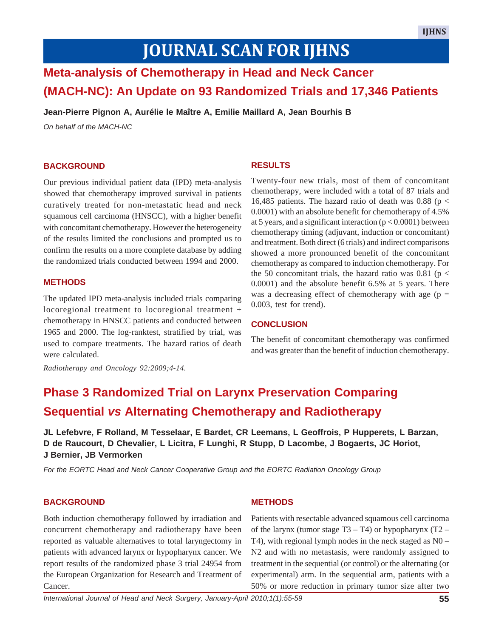# **JOURNAL SCAN FOR IJHNS**

## **Meta-analysis of Chemotherapy in Head and Neck Cancer (MACH-NC): An Update on 93 Randomized Trials and 17,346 Patients**

**Jean-Pierre Pignon A, Aurélie le Maître A, Emilie Maillard A, Jean Bourhis B**

*On behalf of the MACH-NC*

#### **BACKGROUND**

Our previous individual patient data (IPD) meta-analysis showed that chemotherapy improved survival in patients curatively treated for non-metastatic head and neck squamous cell carcinoma (HNSCC), with a higher benefit with concomitant chemotherapy. However the heterogeneity of the results limited the conclusions and prompted us to confirm the results on a more complete database by adding the randomized trials conducted between 1994 and 2000.

#### **METHODS**

The updated IPD meta-analysis included trials comparing locoregional treatment to locoregional treatment + chemotherapy in HNSCC patients and conducted between 1965 and 2000. The log-ranktest, stratified by trial, was used to compare treatments. The hazard ratios of death were calculated.

#### **RESULTS**

Twenty-four new trials, most of them of concomitant chemotherapy, were included with a total of 87 trials and 16,485 patients. The hazard ratio of death was 0.88 ( $p <$ 0.0001) with an absolute benefit for chemotherapy of 4.5% at 5 years, and a significant interaction  $(p < 0.0001)$  between chemotherapy timing (adjuvant, induction or concomitant) and treatment. Both direct (6 trials) and indirect comparisons showed a more pronounced benefit of the concomitant chemotherapy as compared to induction chemotherapy. For the 50 concomitant trials, the hazard ratio was 0.81 ( $p <$ 0.0001) and the absolute benefit 6.5% at 5 years. There was a decreasing effect of chemotherapy with age ( $p =$ 0.003, test for trend).

#### **CONCLUSION**

The benefit of concomitant chemotherapy was confirmed and was greater than the benefit of induction chemotherapy.

*Radiotherapy and Oncology 92:2009;4-14.*

### **Phase 3 Randomized Trial on Larynx Preservation Comparing Sequential** *vs* **Alternating Chemotherapy and Radiotherapy**

**JL Lefebvre, F Rolland, M Tesselaar, E Bardet, CR Leemans, L Geoffrois, P Hupperets, L Barzan, D de Raucourt, D Chevalier, L Licitra, F Lunghi, R Stupp, D Lacombe, J Bogaerts, JC Horiot, J Bernier, JB Vermorken**

*For the EORTC Head and Neck Cancer Cooperative Group and the EORTC Radiation Oncology Group*

#### **BACKGROUND**

Both induction chemotherapy followed by irradiation and concurrent chemotherapy and radiotherapy have been reported as valuable alternatives to total laryngectomy in patients with advanced larynx or hypopharynx cancer. We report results of the randomized phase 3 trial 24954 from the European Organization for Research and Treatment of Cancer.

#### **METHODS**

Patients with resectable advanced squamous cell carcinoma of the larynx (tumor stage  $T3 - T4$ ) or hypopharynx  $(T2 - T4)$ T4), with regional lymph nodes in the neck staged as N0 – N2 and with no metastasis, were randomly assigned to treatment in the sequential (or control) or the alternating (or experimental) arm. In the sequential arm, patients with a 50% or more reduction in primary tumor size after two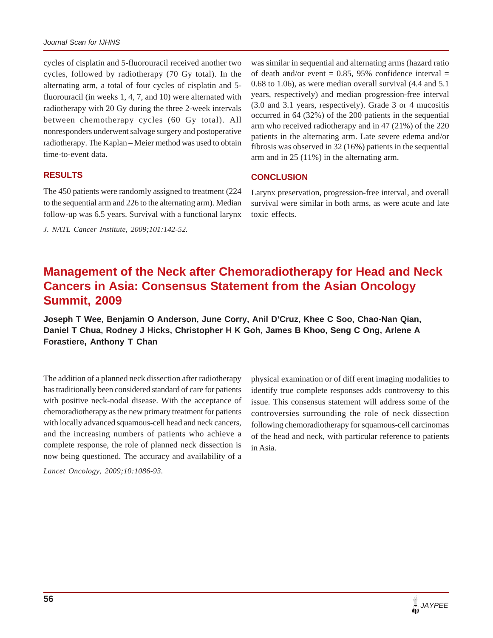cycles of cisplatin and 5-fluorouracil received another two cycles, followed by radiotherapy (70 Gy total). In the alternating arm, a total of four cycles of cisplatin and 5 fluorouracil (in weeks 1, 4, 7, and 10) were alternated with radiotherapy with 20 Gy during the three 2-week intervals between chemotherapy cycles (60 Gy total). All nonresponders underwent salvage surgery and postoperative radiotherapy. The Kaplan – Meier method was used to obtain time-to-event data.

#### **RESULTS**

The 450 patients were randomly assigned to treatment (224 to the sequential arm and 226 to the alternating arm). Median follow-up was 6.5 years. Survival with a functional larynx

*J. NATL Cancer Institute, 2009;101:142-52.*

was similar in sequential and alternating arms (hazard ratio of death and/or event  $= 0.85, 95\%$  confidence interval  $=$ 0.68 to 1.06), as were median overall survival (4.4 and 5.1 years, respectively) and median progression-free interval (3.0 and 3.1 years, respectively). Grade 3 or 4 mucositis occurred in 64 (32%) of the 200 patients in the sequential arm who received radiotherapy and in 47 (21%) of the 220 patients in the alternating arm. Late severe edema and/or fibrosis was observed in 32 (16%) patients in the sequential arm and in 25 (11%) in the alternating arm.

#### **CONCLUSION**

Larynx preservation, progression-free interval, and overall survival were similar in both arms, as were acute and late toxic effects.

### **Management of the Neck after Chemoradiotherapy for Head and Neck Cancers in Asia: Consensus Statement from the Asian Oncology Summit, 2009**

**Joseph T Wee, Benjamin O Anderson, June Corry, Anil D'Cruz, Khee C Soo, Chao-Nan Qian, Daniel T Chua, Rodney J Hicks, Christopher H K Goh, James B Khoo, Seng C Ong, Arlene A Forastiere, Anthony T Chan**

The addition of a planned neck dissection after radiotherapy has traditionally been considered standard of care for patients with positive neck-nodal disease. With the acceptance of chemoradiotherapy as the new primary treatment for patients with locally advanced squamous-cell head and neck cancers, and the increasing numbers of patients who achieve a complete response, the role of planned neck dissection is now being questioned. The accuracy and availability of a

*Lancet Oncology, 2009;10:1086-93.*

physical examination or of diff erent imaging modalities to identify true complete responses adds controversy to this issue. This consensus statement will address some of the controversies surrounding the role of neck dissection following chemoradiotherapy for squamous-cell carcinomas of the head and neck, with particular reference to patients in Asia.

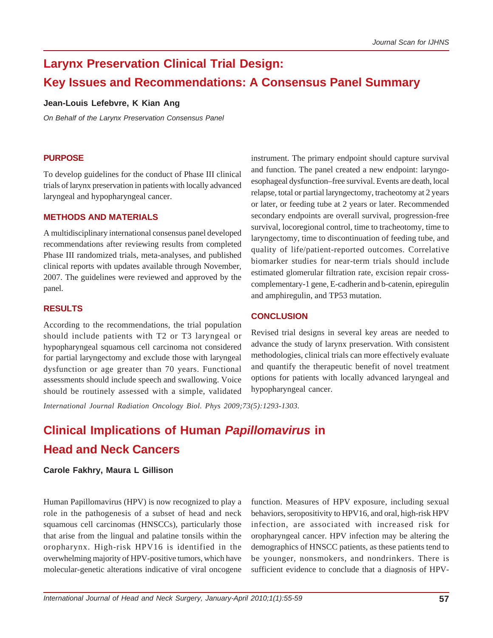### **Larynx Preservation Clinical Trial Design: Key Issues and Recommendations: A Consensus Panel Summary**

#### **Jean-Louis Lefebvre, K Kian Ang**

*On Behalf of the Larynx Preservation Consensus Panel*

#### **PURPOSE**

To develop guidelines for the conduct of Phase III clinical trials of larynx preservation in patients with locally advanced laryngeal and hypopharyngeal cancer.

#### **METHODS AND MATERIALS**

A multidisciplinary international consensus panel developed recommendations after reviewing results from completed Phase III randomized trials, meta-analyses, and published clinical reports with updates available through November, 2007. The guidelines were reviewed and approved by the panel.

#### **RESULTS**

According to the recommendations, the trial population should include patients with T2 or T3 laryngeal or hypopharyngeal squamous cell carcinoma not considered for partial laryngectomy and exclude those with laryngeal dysfunction or age greater than 70 years. Functional assessments should include speech and swallowing. Voice should be routinely assessed with a simple, validated

instrument. The primary endpoint should capture survival and function. The panel created a new endpoint: laryngoesophageal dysfunction–free survival. Events are death, local relapse, total or partial laryngectomy, tracheotomy at 2 years or later, or feeding tube at 2 years or later. Recommended secondary endpoints are overall survival, progression-free survival, locoregional control, time to tracheotomy, time to laryngectomy, time to discontinuation of feeding tube, and quality of life/patient-reported outcomes. Correlative biomarker studies for near-term trials should include estimated glomerular filtration rate, excision repair crosscomplementary-1 gene, E-cadherin and b-catenin, epiregulin and amphiregulin, and TP53 mutation.

#### **CONCLUSION**

Revised trial designs in several key areas are needed to advance the study of larynx preservation. With consistent methodologies, clinical trials can more effectively evaluate and quantify the therapeutic benefit of novel treatment options for patients with locally advanced laryngeal and hypopharyngeal cancer.

*International Journal Radiation Oncology Biol. Phys 2009;73(5):1293-1303.*

### **Clinical Implications of Human** *Papillomavirus* **in Head and Neck Cancers**

#### **Carole Fakhry, Maura L Gillison**

Human Papillomavirus (HPV) is now recognized to play a role in the pathogenesis of a subset of head and neck squamous cell carcinomas (HNSCCs), particularly those that arise from the lingual and palatine tonsils within the oropharynx. High-risk HPV16 is identified in the overwhelming majority of HPV-positive tumors, which have molecular-genetic alterations indicative of viral oncogene

function. Measures of HPV exposure, including sexual behaviors, seropositivity to HPV16, and oral, high-risk HPV infection, are associated with increased risk for oropharyngeal cancer. HPV infection may be altering the demographics of HNSCC patients, as these patients tend to be younger, nonsmokers, and nondrinkers. There is sufficient evidence to conclude that a diagnosis of HPV-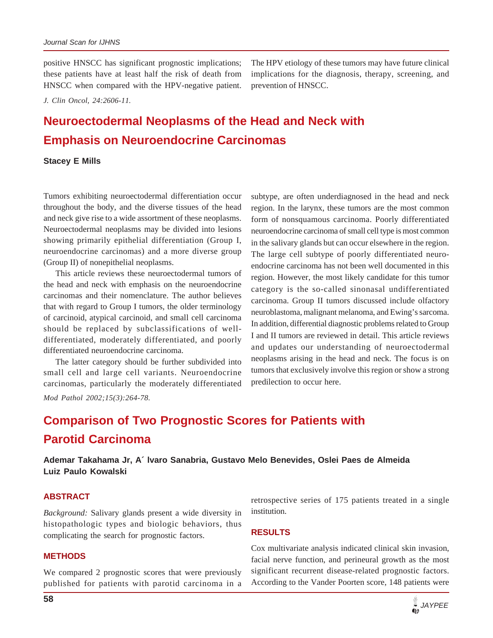positive HNSCC has significant prognostic implications; these patients have at least half the risk of death from HNSCC when compared with the HPV-negative patient.

*J. Clin Oncol, 24:2606-11.*

The HPV etiology of these tumors may have future clinical implications for the diagnosis, therapy, screening, and prevention of HNSCC.

### **Neuroectodermal Neoplasms of the Head and Neck with Emphasis on Neuroendocrine Carcinomas**

**Stacey E Mills**

Tumors exhibiting neuroectodermal differentiation occur throughout the body, and the diverse tissues of the head and neck give rise to a wide assortment of these neoplasms. Neuroectodermal neoplasms may be divided into lesions showing primarily epithelial differentiation (Group I, neuroendocrine carcinomas) and a more diverse group (Group II) of nonepithelial neoplasms.

This article reviews these neuroectodermal tumors of the head and neck with emphasis on the neuroendocrine carcinomas and their nomenclature. The author believes that with regard to Group I tumors, the older terminology of carcinoid, atypical carcinoid, and small cell carcinoma should be replaced by subclassifications of welldifferentiated, moderately differentiated, and poorly differentiated neuroendocrine carcinoma.

The latter category should be further subdivided into small cell and large cell variants. Neuroendocrine carcinomas, particularly the moderately differentiated *Mod Pathol 2002;15(3):264-78.*

subtype, are often underdiagnosed in the head and neck region. In the larynx, these tumors are the most common form of nonsquamous carcinoma. Poorly differentiated neuroendocrine carcinoma of small cell type is most common in the salivary glands but can occur elsewhere in the region. The large cell subtype of poorly differentiated neuroendocrine carcinoma has not been well documented in this region. However, the most likely candidate for this tumor category is the so-called sinonasal undifferentiated carcinoma. Group II tumors discussed include olfactory neuroblastoma, malignant melanoma, and Ewing's sarcoma. In addition, differential diagnostic problems related to Group I and II tumors are reviewed in detail. This article reviews and updates our understanding of neuroectodermal neoplasms arising in the head and neck. The focus is on tumors that exclusively involve this region or show a strong predilection to occur here.

### **Comparison of Two Prognostic Scores for Patients with Parotid Carcinoma**

**Ademar Takahama Jr, A´ lvaro Sanabria, Gustavo Melo Benevides, Oslei Paes de Almeida Luiz Paulo Kowalski**

#### **ABSTRACT**

*Background:* Salivary glands present a wide diversity in histopathologic types and biologic behaviors, thus complicating the search for prognostic factors.

#### **METHODS**

We compared 2 prognostic scores that were previously published for patients with parotid carcinoma in a retrospective series of 175 patients treated in a single institution.

#### **RESULTS**

Cox multivariate analysis indicated clinical skin invasion, facial nerve function, and perineural growth as the most significant recurrent disease-related prognostic factors. According to the Vander Poorten score, 148 patients were